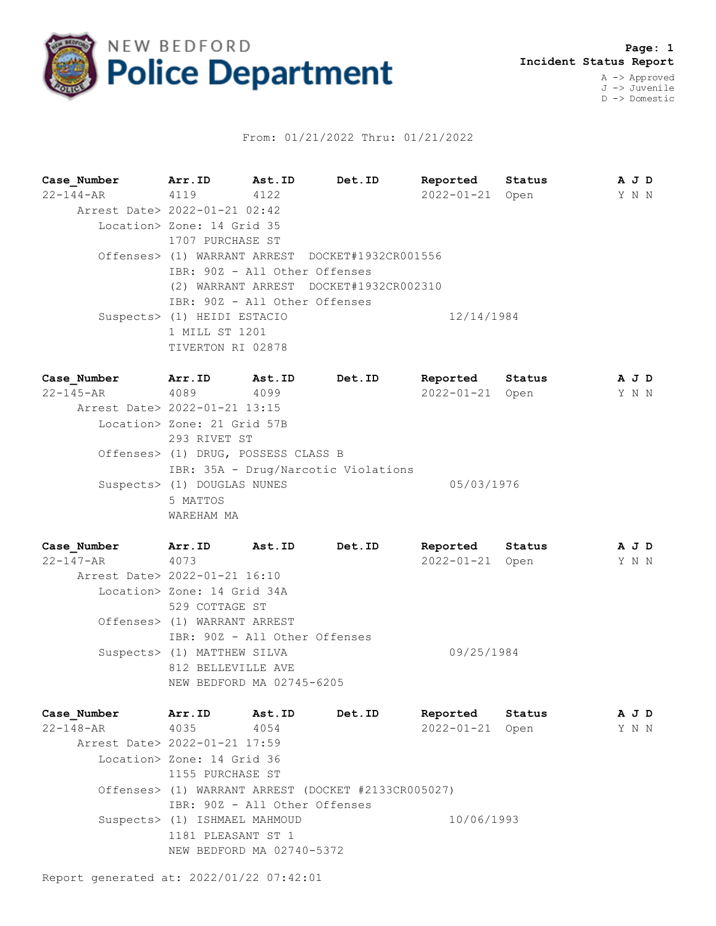

## From: 01/21/2022 Thru: 01/21/2022

**Case\_Number Arr.ID Ast.ID Det.ID Reported Status A J D** 22-144-AR 4119 4122 2022-01-21 Open Y N N Arrest Date> 2022-01-21 02:42 Location> Zone: 14 Grid 35 1707 PURCHASE ST Offenses> (1) WARRANT ARREST DOCKET#1932CR001556 IBR: 90Z - All Other Offenses (2) WARRANT ARREST DOCKET#1932CR002310 IBR: 90Z - All Other Offenses Suspects> (1) HEIDI ESTACIO 12/14/1984 1 MILL ST 1201 TIVERTON RI 02878

**Case\_Number Arr.ID Ast.ID Det.ID Reported Status A J D** 22-145-AR 4089 4099 2022-01-21 Open Y N N Arrest Date> 2022-01-21 13:15 Location> Zone: 21 Grid 57B 293 RIVET ST Offenses> (1) DRUG, POSSESS CLASS B IBR: 35A - Drug/Narcotic Violations Suspects> (1) DOUGLAS NUNES 05/03/1976 5 MATTOS WAREHAM MA

| Case Number                   | Arr.ID                        | Ast.ID | Det.ID | Reported         | Status | A J D |  |
|-------------------------------|-------------------------------|--------|--------|------------------|--------|-------|--|
| 22-147-AR                     | 4073                          |        |        | $2022 - 01 - 21$ | Open   | Y N N |  |
| Arrest Date> 2022-01-21 16:10 |                               |        |        |                  |        |       |  |
|                               | Location> Zone: 14 Grid 34A   |        |        |                  |        |       |  |
|                               | 529 COTTAGE ST                |        |        |                  |        |       |  |
|                               | Offenses> (1) WARRANT ARREST  |        |        |                  |        |       |  |
|                               | IBR: 90Z - All Other Offenses |        |        |                  |        |       |  |
|                               | Suspects> (1) MATTHEW SILVA   |        |        | 09/25/1984       |        |       |  |
|                               | 812 BELLEVILLE AVE            |        |        |                  |        |       |  |
|                               | NEW BEDFORD MA 02745-6205     |        |        |                  |        |       |  |

| Case Number                   | Arr.ID                        | <b>Ast.ID</b>                 | Det.ID                                              | Reported        | Status | A J D |  |
|-------------------------------|-------------------------------|-------------------------------|-----------------------------------------------------|-----------------|--------|-------|--|
| 22-148-AR                     | 4035                          | 4054                          |                                                     | 2022-01-21 Open |        | Y N N |  |
| Arrest Date> 2022-01-21 17:59 |                               |                               |                                                     |                 |        |       |  |
|                               | Location> Zone: 14 Grid 36    |                               |                                                     |                 |        |       |  |
|                               | 1155 PURCHASE ST              |                               |                                                     |                 |        |       |  |
|                               |                               |                               | Offenses> (1) WARRANT ARREST (DOCKET #2133CR005027) |                 |        |       |  |
|                               |                               | IBR: 90Z - All Other Offenses |                                                     |                 |        |       |  |
|                               | Suspects> (1) ISHMAEL MAHMOUD |                               |                                                     | 10/06/1993      |        |       |  |
|                               | 1181 PLEASANT ST 1            |                               |                                                     |                 |        |       |  |
|                               |                               | NEW BEDFORD MA 02740-5372     |                                                     |                 |        |       |  |